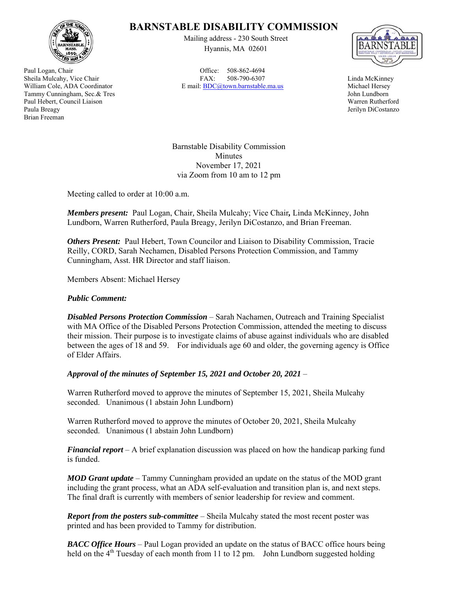

Paul Logan, Chair Sheila Mulcahy, Vice Chair William Cole, ADA Coordinator Tammy Cunningham, Sec.& Tres Paul Hebert, Council Liaison Paula Breagy Brian Freeman

## **BARNSTABLE DISABILITY COMMISSION**

Mailing address - 230 South Street Hyannis, MA 02601

Office: 508-862-4694 FAX: 508-790-6307 E mail: BDC@town.barnstable.ma.us



Linda McKinney Michael Hersey John Lundborn Warren Rutherford Jerilyn DiCostanzo

Barnstable Disability Commission Minutes November 17, 2021 via Zoom from 10 am to 12 pm

Meeting called to order at 10:00 a.m.

*Members present:* Paul Logan, Chair*,* Sheila Mulcahy; Vice Chair*,* Linda McKinney, John Lundborn, Warren Rutherford, Paula Breagy, Jerilyn DiCostanzo, and Brian Freeman.

*Others Present:* Paul Hebert, Town Councilor and Liaison to Disability Commission, Tracie Reilly, CORD, Sarah Nechamen, Disabled Persons Protection Commission, and Tammy Cunningham, Asst. HR Director and staff liaison.

Members Absent: Michael Hersey

## *Public Comment:*

*Disabled Persons Protection Commission* – Sarah Nachamen, Outreach and Training Specialist with MA Office of the Disabled Persons Protection Commission, attended the meeting to discuss their mission. Their purpose is to investigate claims of abuse against individuals who are disabled between the ages of 18 and 59. For individuals age 60 and older, the governing agency is Office of Elder Affairs.

*Approval of the minutes of September 15, 2021 and October 20, 2021* –

Warren Rutherford moved to approve the minutes of September 15, 2021, Sheila Mulcahy seconded. Unanimous (1 abstain John Lundborn)

Warren Rutherford moved to approve the minutes of October 20, 2021, Sheila Mulcahy seconded. Unanimous (1 abstain John Lundborn)

*Financial report* – A brief explanation discussion was placed on how the handicap parking fund is funded.

*MOD Grant update* – Tammy Cunningham provided an update on the status of the MOD grant including the grant process, what an ADA self-evaluation and transition plan is, and next steps. The final draft is currently with members of senior leadership for review and comment.

*Report from the posters sub-committee* – Sheila Mulcahy stated the most recent poster was printed and has been provided to Tammy for distribution.

*BACC Office Hours* – Paul Logan provided an update on the status of BACC office hours being held on the  $4<sup>th</sup>$  Tuesday of each month from 11 to 12 pm. John Lundborn suggested holding